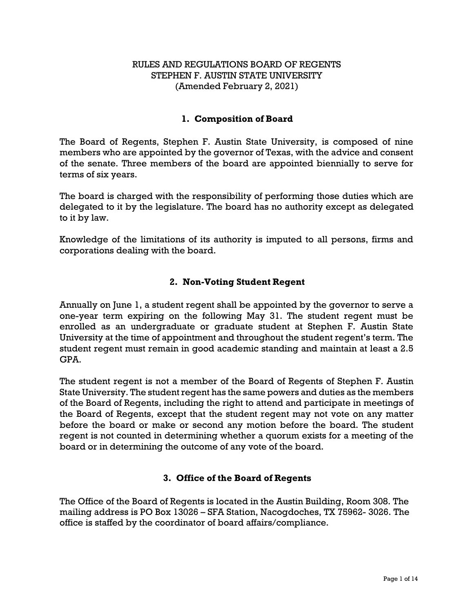## RULES AND REGULATIONS BOARD OF REGENTS STEPHEN F. AUSTIN STATE UNIVERSITY (Amended February 2, 2021)

### **1. Composition of Board**

The Board of Regents, Stephen F. Austin State University, is composed of nine members who are appointed by the governor of Texas, with the advice and consent of the senate. Three members of the board are appointed biennially to serve for terms of six years.

The board is charged with the responsibility of performing those duties which are delegated to it by the legislature. The board has no authority except as delegated to it by law.

Knowledge of the limitations of its authority is imputed to all persons, firms and corporations dealing with the board.

### **2. Non-Voting Student Regent**

Annually on June 1, a student regent shall be appointed by the governor to serve a one-year term expiring on the following May 31. The student regent must be enrolled as an undergraduate or graduate student at Stephen F. Austin State University at the time of appointment and throughout the student regent's term. The student regent must remain in good academic standing and maintain at least a 2.5 GPA.

The student regent is not a member of the Board of Regents of Stephen F. Austin State University. The student regent has the same powers and duties as the members of the Board of Regents, including the right to attend and participate in meetings of the Board of Regents, except that the student regent may not vote on any matter before the board or make or second any motion before the board. The student regent is not counted in determining whether a quorum exists for a meeting of the board or in determining the outcome of any vote of the board.

### **3. Office of the Board of Regents**

The Office of the Board of Regents is located in the Austin Building, Room 308. The mailing address is PO Box 13026 – SFA Station, Nacogdoches, TX 75962- 3026. The office is staffed by the coordinator of board affairs/compliance.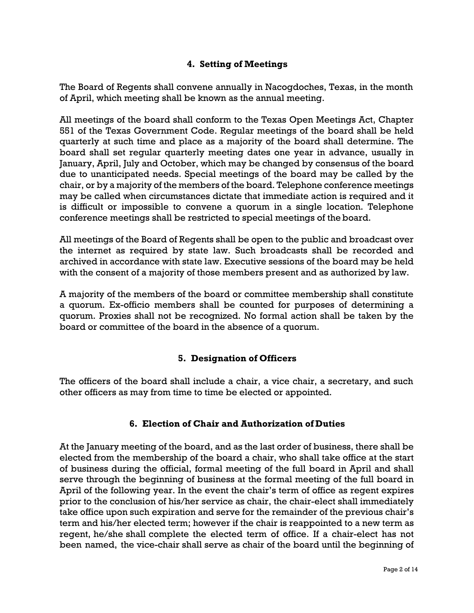# **4. Setting of Meetings**

The Board of Regents shall convene annually in Nacogdoches, Texas, in the month of April, which meeting shall be known as the annual meeting.

All meetings of the board shall conform to the Texas Open Meetings Act, Chapter 551 of the Texas Government Code. Regular meetings of the board shall be held quarterly at such time and place as a majority of the board shall determine. The board shall set regular quarterly meeting dates one year in advance, usually in January, April, July and October, which may be changed by consensus of the board due to unanticipated needs. Special meetings of the board may be called by the chair, or by a majority of the members of the board. Telephone conference meetings may be called when circumstances dictate that immediate action is required and it is difficult or impossible to convene a quorum in a single location. Telephone conference meetings shall be restricted to special meetings of theboard.

All meetings of the Board of Regents shall be open to the public and broadcast over the internet as required by state law. Such broadcasts shall be recorded and archived in accordance with state law. Executive sessions of the board may be held with the consent of a majority of those members present and as authorized by law.

A majority of the members of the board or committee membership shall constitute a quorum. Ex-officio members shall be counted for purposes of determining a quorum. Proxies shall not be recognized. No formal action shall be taken by the board or committee of the board in the absence of a quorum.

## **5. Designation of Officers**

The officers of the board shall include a chair, a vice chair, a secretary, and such other officers as may from time to time be elected or appointed.

### **6. Election of Chair and Authorization of Duties**

At the January meeting of the board, and as the last order of business, there shall be elected from the membership of the board a chair, who shall take office at the start of business during the official, formal meeting of the full board in April and shall serve through the beginning of business at the formal meeting of the full board in April of the following year. In the event the chair's term of office as regent expires prior to the conclusion of his/her service as chair, the chair-elect shall immediately take office upon such expiration and serve for the remainder of the previous chair's term and his/her elected term; however if the chair is reappointed to a new term as regent, he/she shall complete the elected term of office. If a chair-elect has not been named, the vice-chair shall serve as chair of the board until the beginning of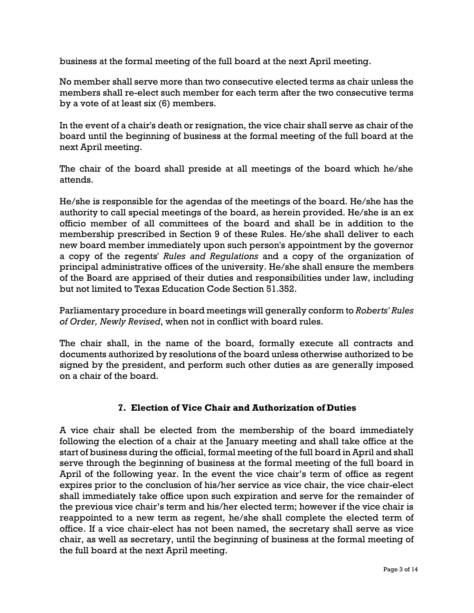business at the formal meeting of the full board at the next April meeting.

No member shall serve more than two consecutive elected terms as chair unless the members shall re-elect such member for each term after the two consecutive terms by a vote of at least six (6) members.

In the event of a chair's death or resignation, the vice chair shall serve as chair of the board until the beginning of business at the formal meeting of the full board at the next April meeting.

The chair of the board shall preside at all meetings of the board which he/she attends.

He/she is responsible for the agendas of the meetings of the board. He/she has the authority to call special meetings of the board, as herein provided. He/she is an ex officio member of all committees of the board and shall be in addition to the membership prescribed in Section 9 of these Rules. He/she shall deliver to each new board member immediately upon such person's appointment by the governor a copy of the regents' *Rules and Regulations* and a copy of the organization of principal administrative offices of the university. He/she shall ensure the members of the Board are apprised of their duties and responsibilities under law, including but not limited to Texas Education Code Section 51.352.

Parliamentary procedure in board meetings will generally conform to *Roberts' Rules of Order, Newly Revised*, when not in conflict with board rules.

The chair shall, in the name of the board, formally execute all contracts and documents authorized by resolutions of the board unless otherwise authorized to be signed by the president, and perform such other duties as are generally imposed on a chair of the board.

## **7. Election of Vice Chair and Authorization of Duties**

A vice chair shall be elected from the membership of the board immediately following the election of a chair at the January meeting and shall take office at the start of business during the official, formal meeting of the full board in April and shall serve through the beginning of business at the formal meeting of the full board in April of the following year. In the event the vice chair's term of office as regent expires prior to the conclusion of his/her service as vice chair, the vice chair-elect shall immediately take office upon such expiration and serve for the remainder of the previous vice chair's term and his/her elected term; however if the vice chair is reappointed to a new term as regent, he/she shall complete the elected term of office. If a vice chair-elect has not been named, the secretary shall serve as vice chair, as well as secretary, until the beginning of business at the formal meeting of the full board at the next April meeting.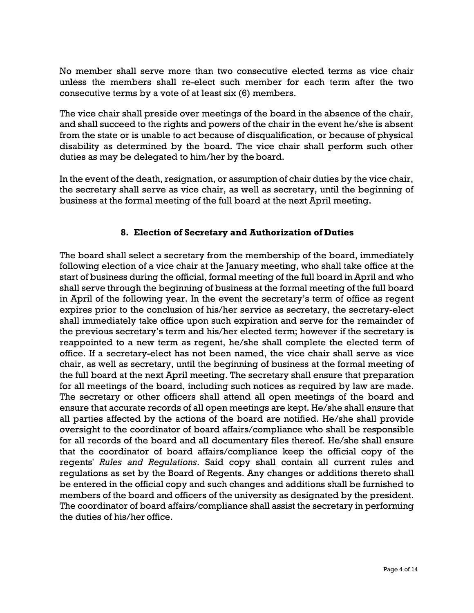No member shall serve more than two consecutive elected terms as vice chair unless the members shall re-elect such member for each term after the two consecutive terms by a vote of at least six (6) members.

The vice chair shall preside over meetings of the board in the absence of the chair, and shall succeed to the rights and powers of the chair in the event he/she is absent from the state or is unable to act because of disqualification, or because of physical disability as determined by the board. The vice chair shall perform such other duties as may be delegated to him/her by the board.

In the event of the death, resignation, or assumption of chair duties by the vice chair, the secretary shall serve as vice chair, as well as secretary, until the beginning of business at the formal meeting of the full board at the next April meeting.

## **8. Election of Secretary and Authorization of Duties**

The board shall select a secretary from the membership of the board, immediately following election of a vice chair at the January meeting, who shall take office at the start of business during the official, formal meeting of the full board in April and who shall serve through the beginning of business at the formal meeting of the full board in April of the following year. In the event the secretary's term of office as regent expires prior to the conclusion of his/her service as secretary, the secretary-elect shall immediately take office upon such expiration and serve for the remainder of the previous secretary's term and his/her elected term; however if the secretary is reappointed to a new term as regent, he/she shall complete the elected term of office. If a secretary-elect has not been named, the vice chair shall serve as vice chair, as well as secretary, until the beginning of business at the formal meeting of the full board at the next April meeting. The secretary shall ensure that preparation for all meetings of the board, including such notices as required by law are made. The secretary or other officers shall attend all open meetings of the board and ensure that accurate records of all open meetings are kept. He/she shall ensure that all parties affected by the actions of the board are notified. He/she shall provide oversight to the coordinator of board affairs/compliance who shall be responsible for all records of the board and all documentary files thereof. He/she shall ensure that the coordinator of board affairs/compliance keep the official copy of the regents' *Rules and Regulations*. Said copy shall contain all current rules and regulations as set by the Board of Regents. Any changes or additions thereto shall be entered in the official copy and such changes and additions shall be furnished to members of the board and officers of the university as designated by the president. The coordinator of board affairs/compliance shall assist the secretary in performing the duties of his/her office.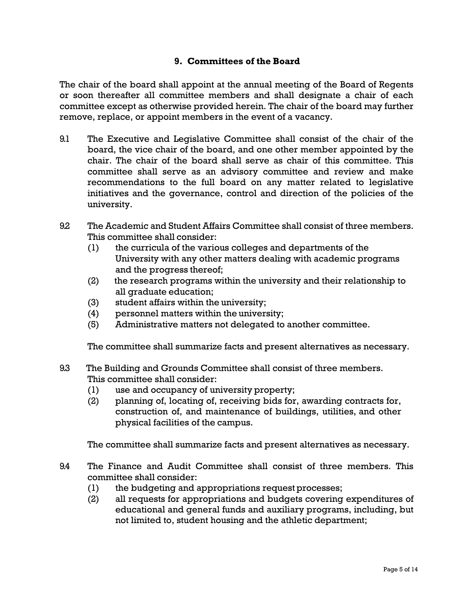### **9. Committees of the Board**

The chair of the board shall appoint at the annual meeting of the Board of Regents or soon thereafter all committee members and shall designate a chair of each committee except as otherwise provided herein. The chair of the board may further remove, replace, or appoint members in the event of a vacancy.

- 9.1 The Executive and Legislative Committee shall consist of the chair of the board, the vice chair of the board, and one other member appointed by the chair. The chair of the board shall serve as chair of this committee. This committee shall serve as an advisory committee and review and make recommendations to the full board on any matter related to legislative initiatives and the governance, control and direction of the policies of the university.
- 9.2 The Academic and Student Affairs Committee shall consist of three members. This committee shall consider:
	- (1) the curricula of the various colleges and departments of the University with any other matters dealing with academic programs and the progress thereof;
	- (2) the research programs within the university and their relationship to all graduate education;
	- (3) student affairs within the university;
	- (4) personnel matters within the university;
	- (5) Administrative matters not delegated to another committee.

The committee shall summarize facts and present alternatives as necessary.

- 9.3 The Building and Grounds Committee shall consist of three members. This committee shall consider:
	- (1) use and occupancy of university property;
	- (2) planning of, locating of, receiving bids for, awarding contracts for, construction of, and maintenance of buildings, utilities, and other physical facilities of the campus.

The committee shall summarize facts and present alternatives as necessary.

- 9.4 The Finance and Audit Committee shall consist of three members. This committee shall consider:
	- (1) the budgeting and appropriations request processes;
	- (2) all requests for appropriations and budgets covering expenditures of educational and general funds and auxiliary programs, including, but not limited to, student housing and the athletic department;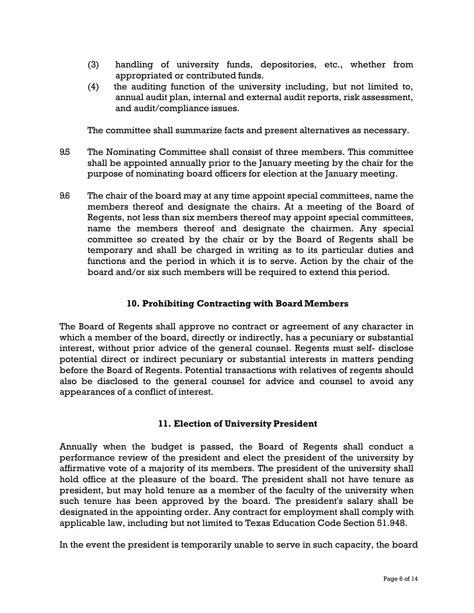- (3) handling of university funds, depositories, etc., whether from appropriated or contributed funds.
- (4) the auditing function of the university including, but not limited to, annual audit plan, internal and external audit reports, risk assessment, and audit/compliance issues.

The committee shall summarize facts and present alternatives as necessary.

- 9.5 The Nominating Committee shall consist of three members. This committee shall be appointed annually prior to the January meeting by the chair for the purpose of nominating board officers for election at the January meeting.
- 9.6 The chair of the board may at any time appoint special committees, name the members thereof and designate the chairs. At a meeting of the Board of Regents, not less than six members thereof may appoint special committees, name the members thereof and designate the chairmen. Any special committee so created by the chair or by the Board of Regents shall be temporary and shall be charged in writing as to its particular duties and functions and the period in which it is to serve. Action by the chair of the board and/or six such members will be required to extend this period.

## **10. Prohibiting Contracting with BoardMembers**

The Board of Regents shall approve no contract or agreement of any character in which a member of the board, directly or indirectly, has a pecuniary or substantial interest, without prior advice of the general counsel. Regents must self- disclose potential direct or indirect pecuniary or substantial interests in matters pending before the Board of Regents. Potential transactions with relatives of regents should also be disclosed to the general counsel for advice and counsel to avoid any appearances of a conflict of interest.

### **11. Election of University President**

Annually when the budget is passed, the Board of Regents shall conduct a performance review of the president and elect the president of the university by affirmative vote of a majority of its members. The president of the university shall hold office at the pleasure of the board. The president shall not have tenure as president, but may hold tenure as a member of the faculty of the university when such tenure has been approved by the board. The president's salary shall be designated in the appointing order. Any contract for employment shall comply with applicable law, including but not limited to Texas Education Code Section 51.948.

In the event the president is temporarily unable to serve in such capacity, the board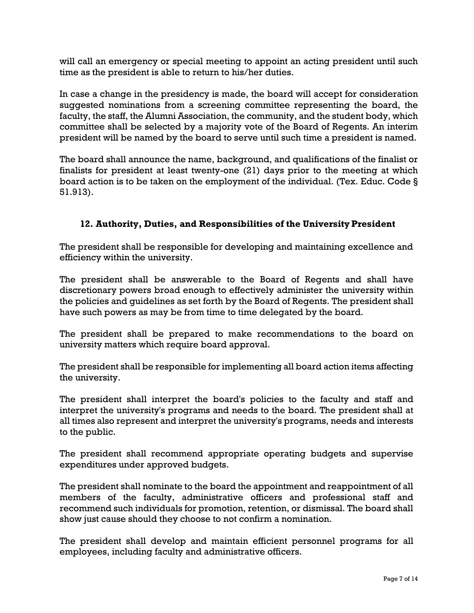will call an emergency or special meeting to appoint an acting president until such time as the president is able to return to his/her duties.

In case a change in the presidency is made, the board will accept for consideration suggested nominations from a screening committee representing the board, the faculty, the staff, the Alumni Association, the community, and the student body, which committee shall be selected by a majority vote of the Board of Regents. An interim president will be named by the board to serve until such time a president is named.

The board shall announce the name, background, and qualifications of the finalist or finalists for president at least twenty-one (21) days prior to the meeting at which board action is to be taken on the employment of the individual. (Tex. Educ. Code § 51.913).

## **12. Authority, Duties, and Responsibilities of the UniversityPresident**

The president shall be responsible for developing and maintaining excellence and efficiency within the university.

The president shall be answerable to the Board of Regents and shall have discretionary powers broad enough to effectively administer the university within the policies and guidelines as set forth by the Board of Regents. The president shall have such powers as may be from time to time delegated by the board.

The president shall be prepared to make recommendations to the board on university matters which require board approval.

The president shall be responsible for implementing all board action items affecting the university.

The president shall interpret the board's policies to the faculty and staff and interpret the university's programs and needs to the board. The president shall at all times also represent and interpret the university's programs, needs and interests to the public.

The president shall recommend appropriate operating budgets and supervise expenditures under approved budgets.

The president shall nominate to the board the appointment and reappointment of all members of the faculty, administrative officers and professional staff and recommend such individuals for promotion, retention, or dismissal. The board shall show just cause should they choose to not confirm a nomination.

The president shall develop and maintain efficient personnel programs for all employees, including faculty and administrative officers.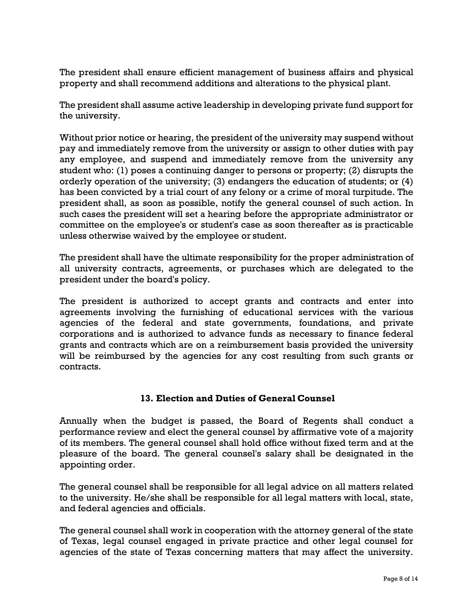The president shall ensure efficient management of business affairs and physical property and shall recommend additions and alterations to the physical plant.

The president shall assume active leadership in developing private fund support for the university.

Without prior notice or hearing, the president of the university may suspend without pay and immediately remove from the university or assign to other duties with pay any employee, and suspend and immediately remove from the university any student who: (1) poses a continuing danger to persons or property; (2) disrupts the orderly operation of the university; (3) endangers the education of students; or (4) has been convicted by a trial court of any felony or a crime of moral turpitude. The president shall, as soon as possible, notify the general counsel of such action. In such cases the president will set a hearing before the appropriate administrator or committee on the employee's or student's case as soon thereafter as is practicable unless otherwise waived by the employee or student.

The president shall have the ultimate responsibility for the proper administration of all university contracts, agreements, or purchases which are delegated to the president under the board's policy.

The president is authorized to accept grants and contracts and enter into agreements involving the furnishing of educational services with the various agencies of the federal and state governments, foundations, and private corporations and is authorized to advance funds as necessary to finance federal grants and contracts which are on a reimbursement basis provided the university will be reimbursed by the agencies for any cost resulting from such grants or contracts.

## **13. Election and Duties of General Counsel**

Annually when the budget is passed, the Board of Regents shall conduct a performance review and elect the general counsel by affirmative vote of a majority of its members. The general counsel shall hold office without fixed term and at the pleasure of the board. The general counsel's salary shall be designated in the appointing order.

The general counsel shall be responsible for all legal advice on all matters related to the university. He/she shall be responsible for all legal matters with local, state, and federal agencies and officials.

The general counsel shall work in cooperation with the attorney general of the state of Texas, legal counsel engaged in private practice and other legal counsel for agencies of the state of Texas concerning matters that may affect the university.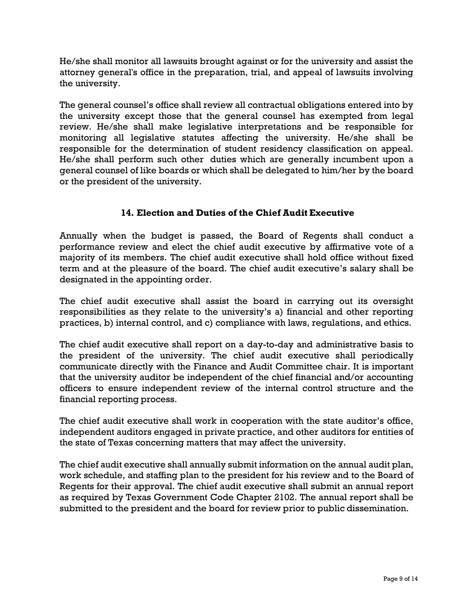He/she shall monitor all lawsuits brought against or for the university and assist the attorney general's office in the preparation, trial, and appeal of lawsuits involving the university.

The general counsel's office shall review all contractual obligations entered into by the university except those that the general counsel has exempted from legal review. He/she shall make legislative interpretations and be responsible for monitoring all legislative statutes affecting the university. He/she shall be responsible for the determination of student residency classification on appeal. He/she shall perform such other duties which are generally incumbent upon a general counsel of like boards or which shall be delegated to him/her by the board or the president of the university.

# **14. Election and Duties of the Chief Audit Executive**

Annually when the budget is passed, the Board of Regents shall conduct a performance review and elect the chief audit executive by affirmative vote of a majority of its members. The chief audit executive shall hold office without fixed term and at the pleasure of the board. The chief audit executive's salary shall be designated in the appointing order.

The chief audit executive shall assist the board in carrying out its oversight responsibilities as they relate to the university's a) financial and other reporting practices, b) internal control, and c) compliance with laws, regulations, and ethics.

The chief audit executive shall report on a day-to-day and administrative basis to the president of the university. The chief audit executive shall periodically communicate directly with the Finance and Audit Committee chair. It is important that the university auditor be independent of the chief financial and/or accounting officers to ensure independent review of the internal control structure and the financial reporting process.

The chief audit executive shall work in cooperation with the state auditor's office, independent auditors engaged in private practice, and other auditors for entities of the state of Texas concerning matters that may affect the university.

The chief audit executive shall annually submit information on the annual audit plan, work schedule, and staffing plan to the president for his review and to the Board of Regents for their approval. The chief audit executive shall submit an annual report as required by Texas Government Code Chapter 2102. The annual report shall be submitted to the president and the board for review prior to public dissemination.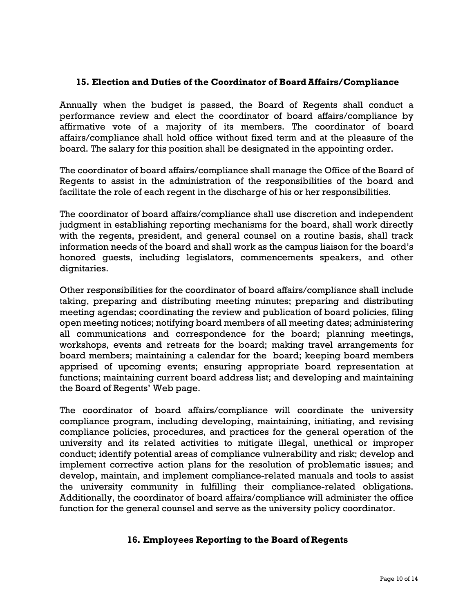### **15. Election and Duties of the Coordinator of BoardAffairs/Compliance**

Annually when the budget is passed, the Board of Regents shall conduct a performance review and elect the coordinator of board affairs/compliance by affirmative vote of a majority of its members. The coordinator of board affairs/compliance shall hold office without fixed term and at the pleasure of the board. The salary for this position shall be designated in the appointing order.

The coordinator of board affairs/compliance shall manage the Office of the Board of Regents to assist in the administration of the responsibilities of the board and facilitate the role of each regent in the discharge of his or her responsibilities.

The coordinator of board affairs/compliance shall use discretion and independent judgment in establishing reporting mechanisms for the board, shall work directly with the regents, president, and general counsel on a routine basis, shall track information needs of the board and shall work as the campus liaison for the board's honored guests, including legislators, commencements speakers, and other dignitaries.

Other responsibilities for the coordinator of board affairs/compliance shall include taking, preparing and distributing meeting minutes; preparing and distributing meeting agendas; coordinating the review and publication of board policies, filing open meeting notices; notifying board members of all meeting dates; administering all communications and correspondence for the board; planning meetings, workshops, events and retreats for the board; making travel arrangements for board members; maintaining a calendar for the board; keeping board members apprised of upcoming events; ensuring appropriate board representation at functions; maintaining current board address list; and developing and maintaining the Board of Regents' Web page.

The coordinator of board affairs/compliance will coordinate the university compliance program, including developing, maintaining, initiating, and revising compliance policies, procedures, and practices for the general operation of the university and its related activities to mitigate illegal, unethical or improper conduct; identify potential areas of compliance vulnerability and risk; develop and implement corrective action plans for the resolution of problematic issues; and develop, maintain, and implement compliance-related manuals and tools to assist the university community in fulfilling their compliance-related obligations. Additionally, the coordinator of board affairs/compliance will administer the office function for the general counsel and serve as the university policy coordinator.

### **16. Employees Reporting to the Board of Regents**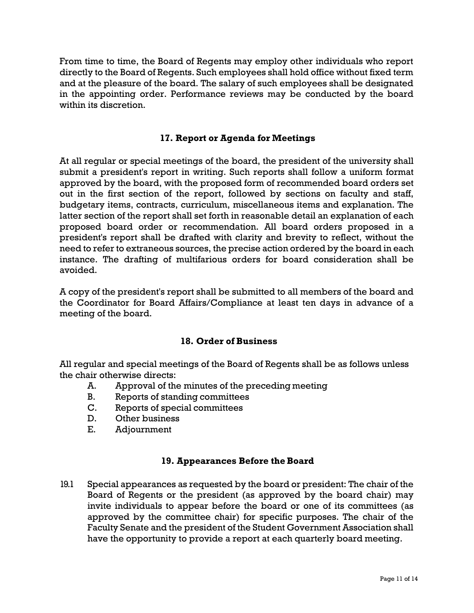From time to time, the Board of Regents may employ other individuals who report directly to the Board of Regents. Such employees shall hold office without fixed term and at the pleasure of the board. The salary of such employees shall be designated in the appointing order. Performance reviews may be conducted by the board within its discretion.

### **17. Report or Agenda for Meetings**

At all regular or special meetings of the board, the president of the university shall submit a president's report in writing. Such reports shall follow a uniform format approved by the board, with the proposed form of recommended board orders set out in the first section of the report, followed by sections on faculty and staff, budgetary items, contracts, curriculum, miscellaneous items and explanation. The latter section of the report shall set forth in reasonable detail an explanation of each proposed board order or recommendation. All board orders proposed in a president's report shall be drafted with clarity and brevity to reflect, without the need to refer to extraneous sources, the precise action ordered by the board in each instance. The drafting of multifarious orders for board consideration shall be avoided.

A copy of the president's report shall be submitted to all members of the board and the Coordinator for Board Affairs/Compliance at least ten days in advance of a meeting of the board.

### **18. Order of Business**

All regular and special meetings of the Board of Regents shall be as follows unless the chair otherwise directs:

- A. Approval of the minutes of the preceding meeting
- B. Reports of standing committees
- C. Reports of special committees
- D. Other business
- E. Adjournment

### **19. Appearances Before theBoard**

19.1 Special appearances as requested by the board or president: The chair of the Board of Regents or the president (as approved by the board chair) may invite individuals to appear before the board or one of its committees (as approved by the committee chair) for specific purposes. The chair of the Faculty Senate and the president of the Student Government Association shall have the opportunity to provide a report at each quarterly board meeting.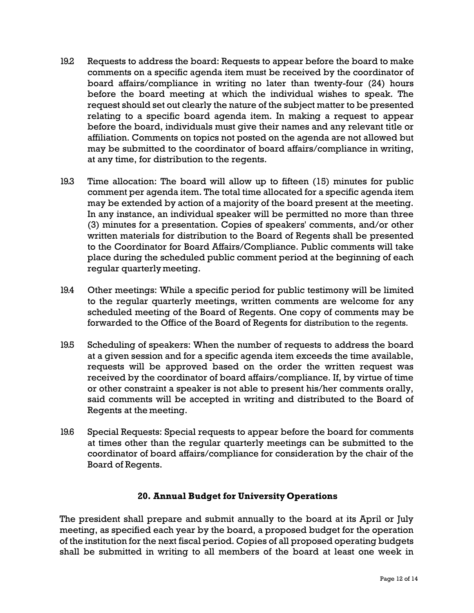- 19.2 Requests to address the board: Requests to appear before the board to make comments on a specific agenda item must be received by the coordinator of board affairs/compliance in writing no later than twenty-four (24) hours before the board meeting at which the individual wishes to speak. The request should set out clearly the nature of the subject matter to be presented relating to a specific board agenda item. In making a request to appear before the board, individuals must give their names and any relevant title or affiliation. Comments on topics not posted on the agenda are not allowed but may be submitted to the coordinator of board affairs/compliance in writing, at any time, for distribution to the regents.
- 19.3 Time allocation: The board will allow up to fifteen (15) minutes for public comment per agenda item. The total time allocated for a specific agenda item may be extended by action of a majority of the board present at the meeting. In any instance, an individual speaker will be permitted no more than three (3) minutes for a presentation. Copies of speakers' comments, and/or other written materials for distribution to the Board of Regents shall be presented to the Coordinator for Board Affairs/Compliance. Public comments will take place during the scheduled public comment period at the beginning of each regular quarterly meeting.
- 19.4 Other meetings: While a specific period for public testimony will be limited to the regular quarterly meetings, written comments are welcome for any scheduled meeting of the Board of Regents. One copy of comments may be forwarded to the Office of the Board of Regents for distribution to the regents.
- 19.5 Scheduling of speakers: When the number of requests to address the board at a given session and for a specific agenda item exceeds the time available, requests will be approved based on the order the written request was received by the coordinator of board affairs/compliance. If, by virtue of time or other constraint a speaker is not able to present his/her comments orally, said comments will be accepted in writing and distributed to the Board of Regents at the meeting.
- 19.6 Special Requests: Special requests to appear before the board for comments at times other than the regular quarterly meetings can be submitted to the coordinator of board affairs/compliance for consideration by the chair of the Board of Regents.

## **20. Annual Budget for University Operations**

The president shall prepare and submit annually to the board at its April or July meeting, as specified each year by the board, a proposed budget for the operation of the institution for the next fiscal period. Copies of all proposed operating budgets shall be submitted in writing to all members of the board at least one week in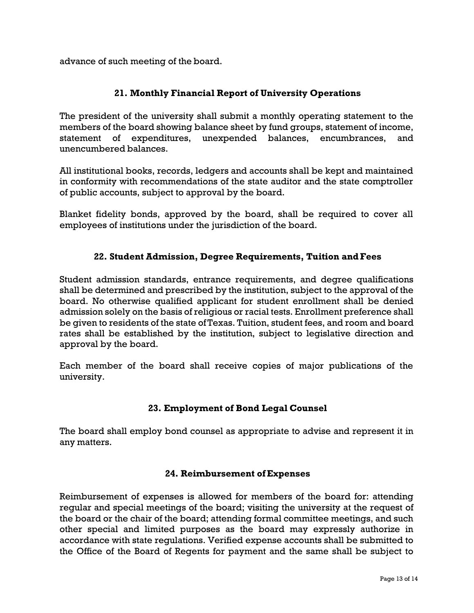advance of such meeting of the board.

## **21. Monthly Financial Report of University Operations**

The president of the university shall submit a monthly operating statement to the members of the board showing balance sheet by fund groups, statement of income, statement of expenditures, unexpended balances, encumbrances, and unencumbered balances.

All institutional books, records, ledgers and accounts shall be kept and maintained in conformity with recommendations of the state auditor and the state comptroller of public accounts, subject to approval by the board.

Blanket fidelity bonds, approved by the board, shall be required to cover all employees of institutions under the jurisdiction of the board.

## **22. Student Admission, Degree Requirements, Tuition andFees**

Student admission standards, entrance requirements, and degree qualifications shall be determined and prescribed by the institution, subject to the approval of the board. No otherwise qualified applicant for student enrollment shall be denied admission solely on the basis of religious or racial tests. Enrollment preference shall be given to residents of the state ofTexas. Tuition, student fees, and room and board rates shall be established by the institution, subject to legislative direction and approval by the board.

Each member of the board shall receive copies of major publications of the university.

## **23. Employment of Bond Legal Counsel**

The board shall employ bond counsel as appropriate to advise and represent it in any matters.

### **24. Reimbursement ofExpenses**

Reimbursement of expenses is allowed for members of the board for: attending regular and special meetings of the board; visiting the university at the request of the board or the chair of the board; attending formal committee meetings, and such other special and limited purposes as the board may expressly authorize in accordance with state regulations. Verified expense accounts shall be submitted to the Office of the Board of Regents for payment and the same shall be subject to